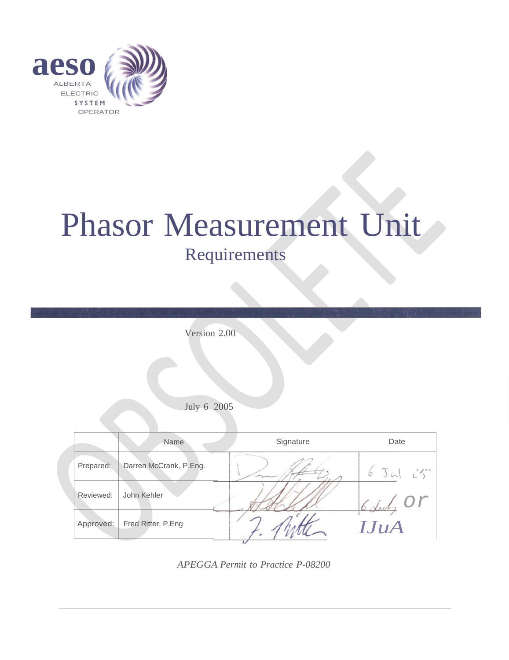

# Phasor Measurement Unit Requirements

|           | Version 2.00           |           |               |
|-----------|------------------------|-----------|---------------|
|           | July 6 2005            |           |               |
|           | Name                   | Signature | Date          |
| Prepared: | Darren McCrank, P.Eng. |           | $6J\omega L'$ |
| Reviewed: | John Kehler            |           |               |
| Approved: | Fred Ritter, P.Eng     |           | IJuA          |

*APEGGA Permit to Practice P-08200*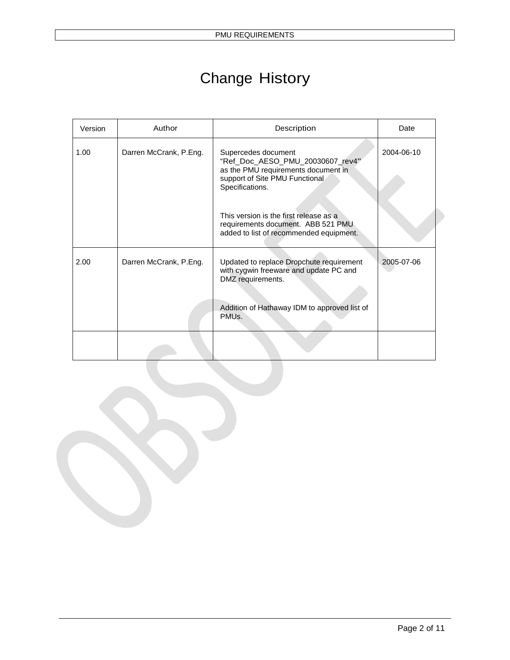# Change History

| Version | Author                 | Description                                                                                                                                         | Date       |
|---------|------------------------|-----------------------------------------------------------------------------------------------------------------------------------------------------|------------|
| 1.00    | Darren McCrank, P.Eng. | Supercedes document<br>"Ref_Doc_AESO_PMU_20030607_rev4"<br>as the PMU requirements document in<br>support of Site PMU Functional<br>Specifications. | 2004-06-10 |
|         |                        | This version is the first release as a<br>requirements document. ABB 521 PMU<br>added to list of recommended equipment.                             |            |
| 2.00    | Darren McCrank, P.Eng. | Updated to replace Dropchute requirement<br>with cygwin freeware and update PC and<br>DMZ requirements.                                             | 2005-07-06 |
|         |                        | Addition of Hathaway IDM to approved list of<br>PMU <sub>s</sub>                                                                                    |            |
|         |                        |                                                                                                                                                     |            |

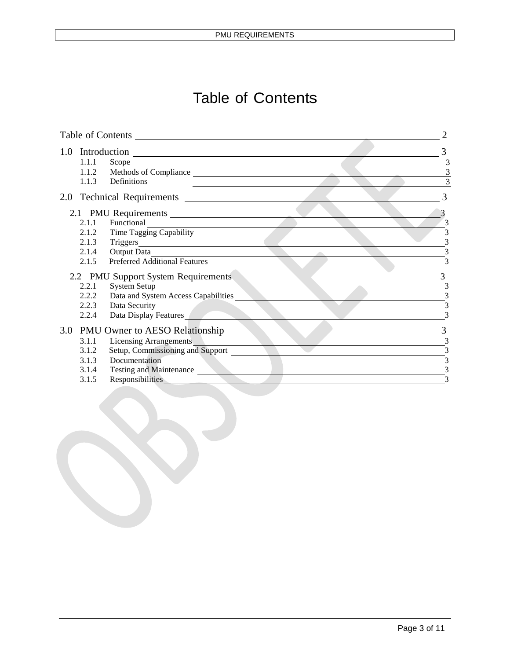# Table of Contents

|       | Table of Contents                                                                                                                                                                                                                                     |                          |
|-------|-------------------------------------------------------------------------------------------------------------------------------------------------------------------------------------------------------------------------------------------------------|--------------------------|
|       | 1.0 Introduction                                                                                                                                                                                                                                      |                          |
| 1.1.1 | Scope                                                                                                                                                                                                                                                 | 3                        |
|       | 1.1.2 Methods of Compliance                                                                                                                                                                                                                           | 3                        |
| 1.1.3 | Definitions                                                                                                                                                                                                                                           | $\overline{3}$           |
|       | the contract of the contract of the contract of the contract of the contract of                                                                                                                                                                       | 3                        |
|       | 2.1 PMU Requirements                                                                                                                                                                                                                                  |                          |
| 2.1.1 | Functional<br>the control of the control of the control of the control of the control of                                                                                                                                                              | 3                        |
|       | 2.1.2 Time Tagging Capability                                                                                                                                                                                                                         | 3                        |
| 2.1.3 | Triggers                                                                                                                                                                                                                                              | 3                        |
| 2.1.4 | Output Data                                                                                                                                                                                                                                           | $\bar{3}$                |
| 2.1.5 | Preferred Additional Features                                                                                                                                                                                                                         | $\overline{\mathcal{E}}$ |
|       | 2.2 PMU Support System Requirements                                                                                                                                                                                                                   |                          |
| 2.2.1 | System Setup                                                                                                                                                                                                                                          | 3                        |
| 2.2.2 | Data and System Access Capabilities                                                                                                                                                                                                                   | 3                        |
| 2.2.3 | Data Security                                                                                                                                                                                                                                         | $\bar{3}$                |
| 2.2.4 | Data Display Features                                                                                                                                                                                                                                 | 3                        |
|       | 3.0 PMU Owner to AESO Relationship                                                                                                                                                                                                                    | 3                        |
| 3.1.1 | <b>Licensing Arrangements</b>                                                                                                                                                                                                                         | 3                        |
| 3.1.2 | Setup, Commissioning and Support                                                                                                                                                                                                                      | 3                        |
| 3.1.3 | Documentation<br><u> De Carlos de Carlos de Carlos de Carlos de Carlos de Carlos de Carlos de Carlos de Carlos de Carlos de Carlos de Carlos de Carlos de Carlos de Carlos de Carlos de Carlos de Carlos de Carlos de Carlos de Carlos de Carlos </u> | 3                        |
| 3.1.4 | Testing and Maintenance                                                                                                                                                                                                                               | 3                        |
| 3.1.5 | Responsibilities                                                                                                                                                                                                                                      | 3                        |
|       |                                                                                                                                                                                                                                                       |                          |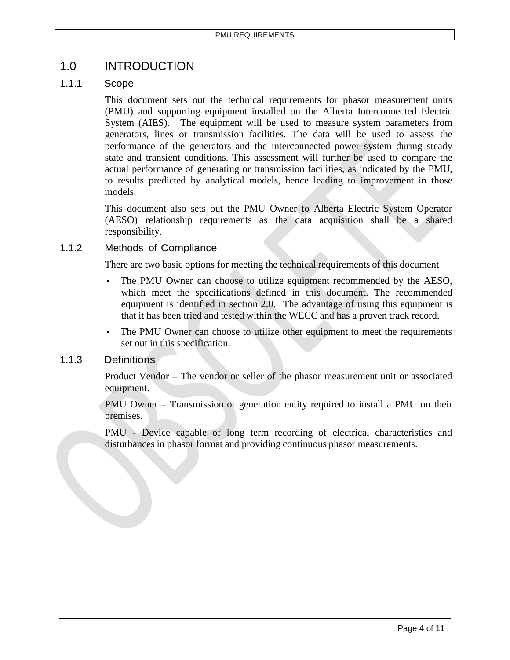## 1.0 INTRODUCTION

#### 1.1.1 Scope

This document sets out the technical requirements for phasor measurement units (PMU) and supporting equipment installed on the Alberta Interconnected Electric System (AIES). The equipment will be used to measure system parameters from generators, lines or transmission facilities. The data will be used to assess the performance of the generators and the interconnected power system during steady state and transient conditions. This assessment will further be used to compare the actual performance of generating or transmission facilities, as indicated by the PMU, to results predicted by analytical models, hence leading to improvement in those models.

This document also sets out the PMU Owner to Alberta Electric System Operator (AESO) relationship requirements as the data acquisition shall be a shared responsibility.

#### 1.1.2 Methods of Compliance

There are two basic options for meeting the technical requirements of this document

- The PMU Owner can choose to utilize equipment recommended by the AESO, which meet the specifications defined in this document. The recommended equipment is identified in section 2.0. The advantage of using this equipment is that it has been tried and tested within the WECC and has a proven track record.
- The PMU Owner can choose to utilize other equipment to meet the requirements set out in this specification.

#### 1.1.3 Definitions

Product Vendor – The vendor or seller of the phasor measurement unit or associated equipment.

PMU Owner – Transmission or generation entity required to install a PMU on their premises.

PMU - Device capable of long term recording of electrical characteristics and disturbances in phasor format and providing continuous phasor measurements.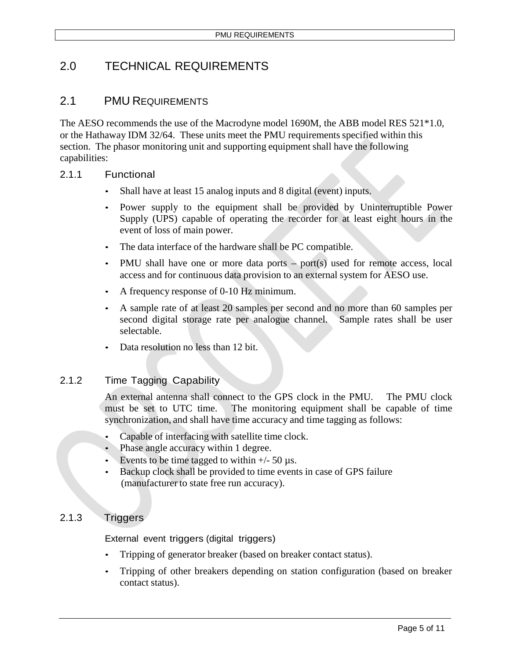# 2.0 TECHNICAL REQUIREMENTS

### 2.1 PMU REQUIREMENTS

The AESO recommends the use of the Macrodyne model 1690M, the ABB model RES 521\*1.0, or the Hathaway IDM 32/64. These units meet the PMU requirements specified within this section. The phasor monitoring unit and supporting equipment shall have the following capabilities:

#### 2.1.1 Functional

- Shall have at least 15 analog inputs and 8 digital (event) inputs.
- Power supply to the equipment shall be provided by Uninterruptible Power Supply (UPS) capable of operating the recorder for at least eight hours in the event of loss of main power.
- The data interface of the hardware shall be PC compatible.
- PMU shall have one or more data ports port(s) used for remote access, local access and for continuous data provision to an external system for AESO use.
- A frequency response of 0-10 Hz minimum.
- A sample rate of at least 20 samples per second and no more than 60 samples per second digital storage rate per analogue channel. Sample rates shall be user selectable.
- Data resolution no less than 12 bit.

#### 2.1.2 Time Tagging Capability

An external antenna shall connect to the GPS clock in the PMU. The PMU clock must be set to UTC time. The monitoring equipment shall be capable of time synchronization, and shall have time accuracy and time tagging as follows:

- Capable of interfacing with satellite time clock.
- Phase angle accuracy within 1 degree.
- Events to be time tagged to within  $+/- 50 \text{ }\mu\text{s}$ .
- Backup clock shall be provided to time events in case of GPS failure (manufacturer to state free run accuracy).

#### 2.1.3 Triggers

External event triggers (digital triggers)

- Tripping of generator breaker (based on breaker contact status).
- Tripping of other breakers depending on station configuration (based on breaker contact status).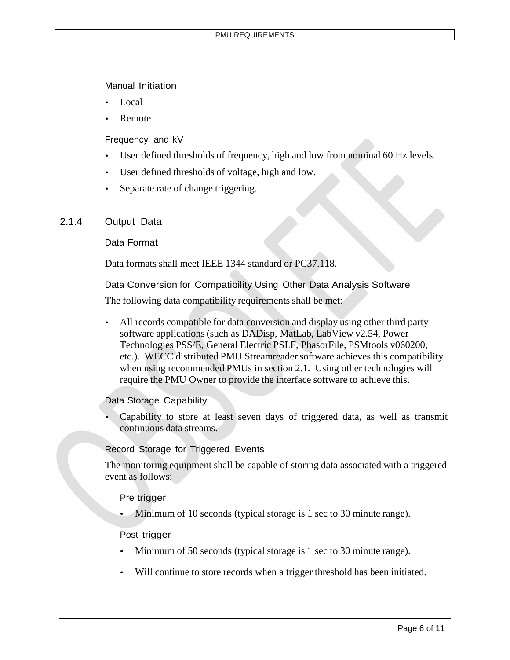Manual Initiation

- Local
- **Remote**

Frequency and kV

- User defined thresholds of frequency, high and low from nominal 60 Hz levels.
- User defined thresholds of voltage, high and low.
- Separate rate of change triggering.

#### 2.1.4 Output Data

#### Data Format

Data formats shall meet IEEE 1344 standard or PC37.118.

Data Conversion for Compatibility Using Other Data Analysis Software

The following data compatibility requirements shall be met:

• All records compatible for data conversion and display using other third party software applications (such as DADisp, MatLab, LabView v2.54, Power Technologies PSS/E, General Electric PSLF, PhasorFile, PSMtools v060200, etc.). WECC distributed PMU Streamreader software achieves this compatibility when using recommended PMUs in section 2.1. Using other technologies will require the PMU Owner to provide the interface software to achieve this.

Data Storage Capability

• Capability to store at least seven days of triggered data, as well as transmit continuous data streams.

#### Record Storage for Triggered Events

The monitoring equipment shall be capable of storing data associated with a triggered event as follows:

Pre trigger

Minimum of 10 seconds (typical storage is 1 sec to 30 minute range).

#### Post trigger

- Minimum of 50 seconds (typical storage is 1 sec to 30 minute range).
- Will continue to store records when a trigger threshold has been initiated.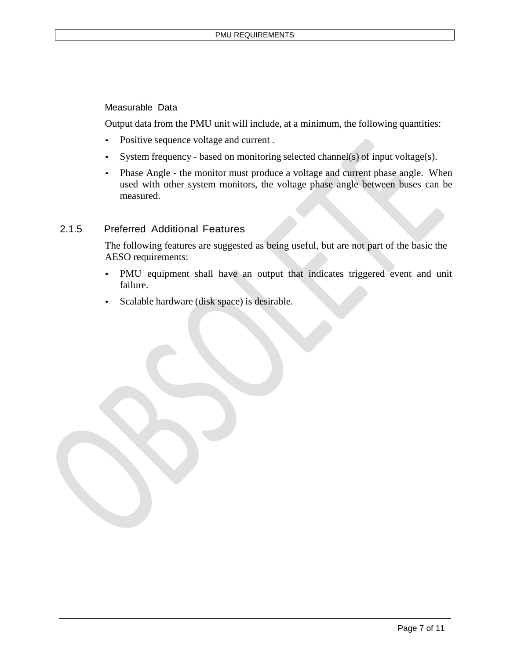#### Measurable Data

Output data from the PMU unit will include, at a minimum, the following quantities:

- Positive sequence voltage and current .
- System frequency based on monitoring selected channel(s) of input voltage(s).
- Phase Angle the monitor must produce a voltage and current phase angle. When used with other system monitors, the voltage phase angle between buses can be measured.

#### 2.1.5 Preferred Additional Features

The following features are suggested as being useful, but are not part of the basic the AESO requirements:

- PMU equipment shall have an output that indicates triggered event and unit failure.
- Scalable hardware (disk space) is desirable.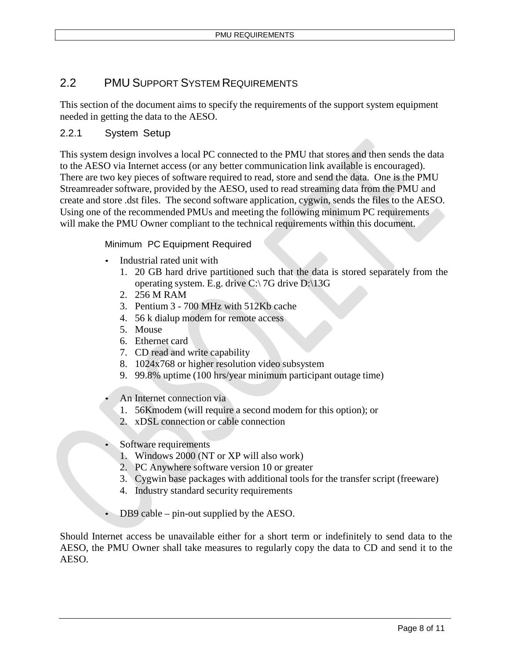### 2.2 PMU SUPPORT SYSTEM REQUIREMENTS

This section of the document aims to specify the requirements of the support system equipment needed in getting the data to the AESO.

#### 2.2.1 System Setup

This system design involves a local PC connected to the PMU that stores and then sends the data to the AESO via Internet access (or any better communication link available is encouraged). There are two key pieces of software required to read, store and send the data. One is the PMU Streamreader software, provided by the AESO, used to read streaming data from the PMU and create and store .dst files. The second software application, cygwin, sends the files to the AESO. Using one of the recommended PMUs and meeting the following minimum PC requirements will make the PMU Owner compliant to the technical requirements within this document.

#### Minimum PC Equipment Required

- Industrial rated unit with
	- 1. 20 GB hard drive partitioned such that the data is stored separately from the operating system. E.g. drive C:\ 7G drive D:\13G
	- 2. 256 M RAM
	- 3. Pentium 3 700 MHz with 512Kb cache
	- 4. 56 k dialup modem for remote access
	- 5. Mouse
	- 6. Ethernet card
	- 7. CD read and write capability
	- 8. 1024x768 or higher resolution video subsystem
	- 9. 99.8% uptime (100 hrs/year minimum participant outage time)
- An Internet connection via
	- 1. 56Kmodem (will require a second modem for this option); or
	- 2. xDSL connection or cable connection
- Software requirements
	- 1. Windows 2000 (NT or XP will also work)
	- 2. PC Anywhere software version 10 or greater
	- 3. Cygwin base packages with additional tools for the transfer script (freeware)
	- 4. Industry standard security requirements
- DB9 cable pin-out supplied by the AESO.

Should Internet access be unavailable either for a short term or indefinitely to send data to the AESO, the PMU Owner shall take measures to regularly copy the data to CD and send it to the AESO.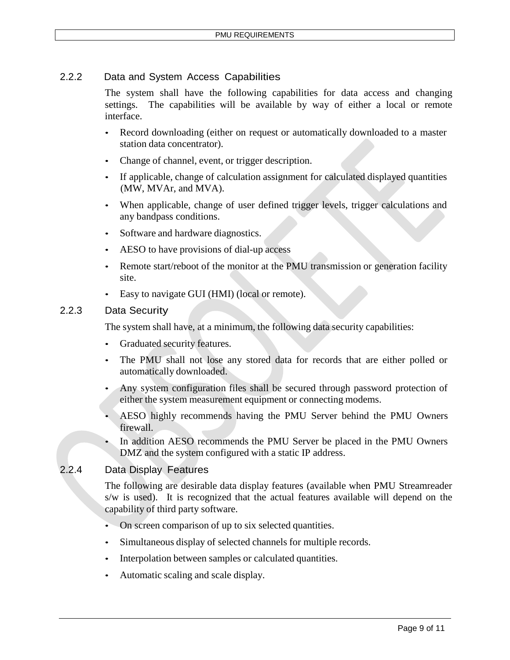#### 2.2.2 Data and System Access Capabilities

The system shall have the following capabilities for data access and changing settings. The capabilities will be available by way of either a local or remote interface.

- Record downloading (either on request or automatically downloaded to a master station data concentrator).
- Change of channel, event, or trigger description.
- If applicable, change of calculation assignment for calculated displayed quantities (MW, MVAr, and MVA).
- When applicable, change of user defined trigger levels, trigger calculations and any bandpass conditions.
- Software and hardware diagnostics.
- AESO to have provisions of dial-up access
- Remote start/reboot of the monitor at the PMU transmission or generation facility site.
- Easy to navigate GUI (HMI) (local or remote).

#### 2.2.3 Data Security

The system shall have, at a minimum, the following data security capabilities:

- Graduated security features.
- The PMU shall not lose any stored data for records that are either polled or automatically downloaded.
- Any system configuration files shall be secured through password protection of either the system measurement equipment or connecting modems.
- AESO highly recommends having the PMU Server behind the PMU Owners firewall.
- In addition AESO recommends the PMU Server be placed in the PMU Owners DMZ and the system configured with a static IP address.

#### 2.2.4 Data Display Features

The following are desirable data display features (available when PMU Streamreader s/w is used). It is recognized that the actual features available will depend on the capability of third party software.

- On screen comparison of up to six selected quantities.
- Simultaneous display of selected channels for multiple records.
- Interpolation between samples or calculated quantities.
- Automatic scaling and scale display.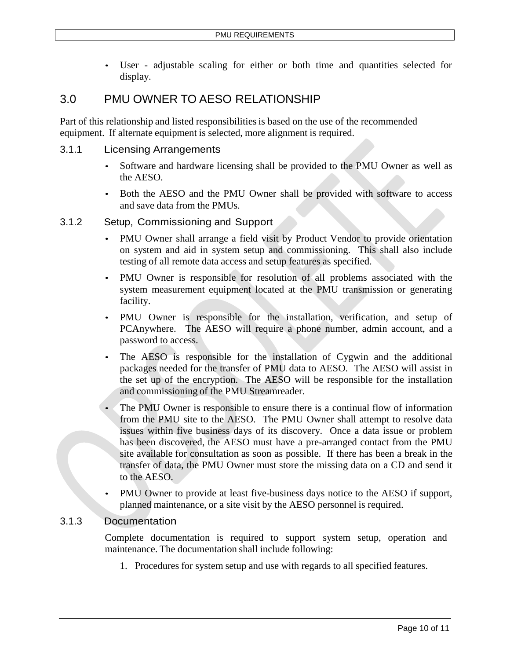• User - adjustable scaling for either or both time and quantities selected for display.

# 3.0 PMU OWNER TO AESO RELATIONSHIP

Part of this relationship and listed responsibilities is based on the use of the recommended equipment. If alternate equipment is selected, more alignment is required.

#### 3.1.1 Licensing Arrangements

- Software and hardware licensing shall be provided to the PMU Owner as well as the AESO.
- Both the AESO and the PMU Owner shall be provided with software to access and save data from the PMUs.

#### 3.1.2 Setup, Commissioning and Support

- PMU Owner shall arrange a field visit by Product Vendor to provide orientation on system and aid in system setup and commissioning. This shall also include testing of all remote data access and setup features as specified.
- PMU Owner is responsible for resolution of all problems associated with the system measurement equipment located at the PMU transmission or generating facility.
- PMU Owner is responsible for the installation, verification, and setup of PCAnywhere. The AESO will require a phone number, admin account, and a password to access.
- The AESO is responsible for the installation of Cygwin and the additional packages needed for the transfer of PMU data to AESO. The AESO will assist in the set up of the encryption. The AESO will be responsible for the installation and commissioning of the PMU Streamreader.
- The PMU Owner is responsible to ensure there is a continual flow of information from the PMU site to the AESO. The PMU Owner shall attempt to resolve data issues within five business days of its discovery. Once a data issue or problem has been discovered, the AESO must have a pre-arranged contact from the PMU site available for consultation as soon as possible. If there has been a break in the transfer of data, the PMU Owner must store the missing data on a CD and send it to the AESO.
- PMU Owner to provide at least five-business days notice to the AESO if support, planned maintenance, or a site visit by the AESO personnel is required.

#### 3.1.3 Documentation

Complete documentation is required to support system setup, operation and maintenance. The documentation shall include following:

1. Procedures for system setup and use with regards to all specified features.